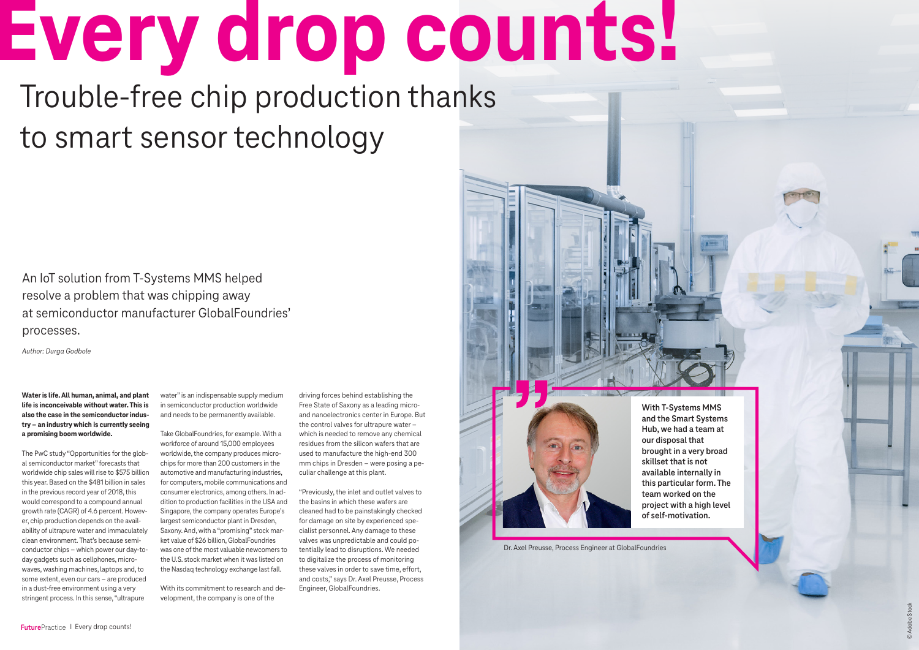**Water is life. All human, animal, and plant life is inconceivable without water. This is also the case in the semiconductor industry – an industry which is currently seeing a promising boom worldwide.** 

The PwC study "Opportunities for the global semiconductor market" forecasts that worldwide chip sales will rise to \$575 billion this year. Based on the \$481 billion in sales in the previous record year of 2018, this would correspond to a compound annual growth rate (CAGR) of 4.6 percent. However, chip production depends on the availability of ultrapure water and immaculately clean environment. That's because semiconductor chips – which power our day-today gadgets such as cellphones, microwaves, washing machines, laptops and, to some extent, even our cars – are produced in a dust-free environment using a very stringent process. In this sense, "ultrapure

water" is an indispensable supply medium in semiconductor production worldwide and needs to be permanently available.

Take GlobalFoundries, for example. With a workforce of around 15,000 employees worldwide, the company produces microchips for more than 200 customers in the automotive and manufacturing industries, for computers, mobile communications and consumer electronics, among others. In addition to production facilities in the USA and Singapore, the company operates Europe's largest semiconductor plant in Dresden, Saxony. And, with a "promising" stock market value of \$26 billion, GlobalFoundries was one of the most valuable newcomers to the U.S. stock market when it was listed on the Nasdaq technology exchange last fall.

With its commitment to research and development, the company is one of the

An IoT solution from T-Systems MMS helped resolve a problem that was chipping away at semiconductor manufacturer GlobalFoundries' processes.

*Author: Durga Godbole*

**With T-Systems MMS and the Smart Systems Hub, we had a team at our disposal that brought in a very broad skillset that is not available internally in this particular form. The team worked on the project with a high level of self-motivation.**

Dr. Axel Preusse, Process Engineer at GlobalFoundries

**Every drop counts!** Trouble-free chip production thanks

> driving forces behind establishing the Free State of Saxony as a leading microand nanoelectronics center in Europe. But the control valves for ultrapure water – which is needed to remove any chemical residues from the silicon wafers that are used to manufacture the high-end 300 mm chips in Dresden – were posing a peculiar challenge at this plant.

"Previously, the inlet and outlet valves to the basins in which these wafers are cleaned had to be painstakingly checked for damage on site by experienced specialist personnel. Any damage to these valves was unpredictable and could potentially lead to disruptions. We needed to digitalize the process of monitoring these valves in order to save time, effort, and costs," says Dr. Axel Preusse, Process Engineer, GlobalFoundries.

to smart sensor technology